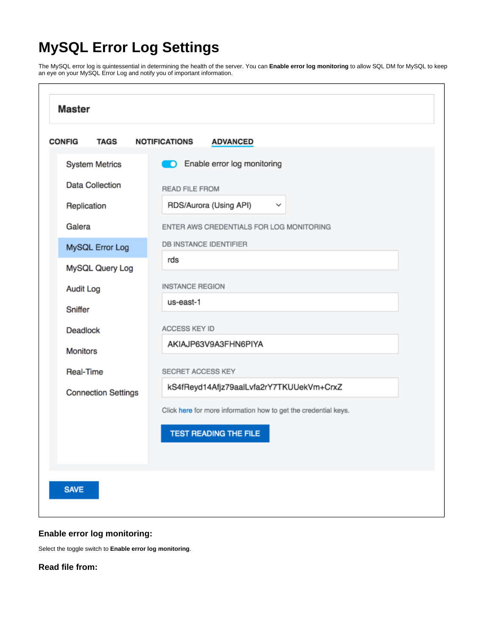# **MySQL Error Log Settings**

The MySQL error log is quintessential in determining the health of the server. You can **Enable error log monitoring** to allow SQL DM for MySQL to keep an eye on your MySQL Error Log and notify you of important information.

| <b>CONFIG</b><br><b>TAGS</b> | <b>NOTIFICATIONS</b><br><b>ADVANCED</b>                         |
|------------------------------|-----------------------------------------------------------------|
| <b>System Metrics</b>        | <b>D</b> Enable error log monitoring                            |
| <b>Data Collection</b>       | <b>READ FILE FROM</b>                                           |
| Replication                  | RDS/Aurora (Using API)<br>$\checkmark$                          |
| Galera                       | ENTER AWS CREDENTIALS FOR LOG MONITORING                        |
| MySQL Error Log              | <b>DB INSTANCE IDENTIFIER</b>                                   |
| MySQL Query Log              | rds                                                             |
| <b>Audit Log</b>             | <b>INSTANCE REGION</b>                                          |
| Sniffer                      | us-east-1                                                       |
| <b>Deadlock</b>              | ACCESS KEY ID                                                   |
| <b>Monitors</b>              | AKIAJP63V9A3FHN6PIYA                                            |
| <b>Real-Time</b>             | SECRET ACCESS KEY                                               |
| <b>Connection Settings</b>   | kS4fReyd14Afjz79aalLvfa2rY7TKUUekVm+CrxZ                        |
|                              | Click here for more information how to get the credential keys. |
|                              | <b>TEST READING THE FILE</b>                                    |
|                              |                                                                 |
|                              |                                                                 |

## **Enable error log monitoring:**

Select the toggle switch to **Enable error log monitoring**.

**Read file from:**